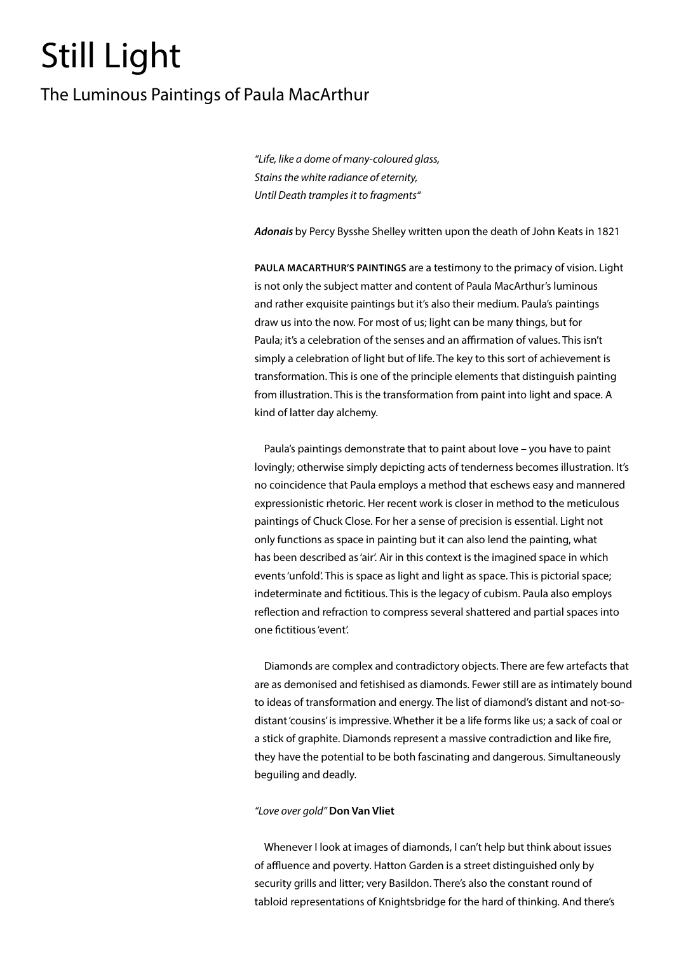# Still Light

# The Luminous Paintings of Paula MacArthur

*"Life, like a dome of many-coloured glass, Stains the white radiance of eternity, Until Death tramples it to fragments"*

*Adonais* by Percy Bysshe Shelley written upon the death of John Keats in 1821

**PAULA MACARTHUR'S PAINTINGS** are a testimony to the primacy of vision. Light is not only the subject matter and content of Paula MacArthur's luminous and rather exquisite paintings but it's also their medium. Paula's paintings draw us into the now. For most of us; light can be many things, but for Paula; it's a celebration of the senses and an affirmation of values. This isn't simply a celebration of light but of life. The key to this sort of achievement is transformation. This is one of the principle elements that distinguish painting from illustration. This is the transformation from paint into light and space. A kind of latter day alchemy.

Paula's paintings demonstrate that to paint about love – you have to paint lovingly; otherwise simply depicting acts of tenderness becomes illustration. It's no coincidence that Paula employs a method that eschews easy and mannered expressionistic rhetoric. Her recent work is closer in method to the meticulous paintings of Chuck Close. For her a sense of precision is essential. Light not only functions as space in painting but it can also lend the painting, what has been described as 'air'. Air in this context is the imagined space in which events 'unfold'. This is space as light and light as space. This is pictorial space; indeterminate and fictitious. This is the legacy of cubism. Paula also employs reflection and refraction to compress several shattered and partial spaces into one fictitious 'event'.

Diamonds are complex and contradictory objects. There are few artefacts that are as demonised and fetishised as diamonds. Fewer still are as intimately bound to ideas of transformation and energy. The list of diamond's distant and not-sodistant 'cousins' is impressive. Whether it be a life forms like us; a sack of coal or a stick of graphite. Diamonds represent a massive contradiction and like fire, they have the potential to be both fascinating and dangerous. Simultaneously beguiling and deadly.

## *"Love over gold"* **Don Van Vliet**

Whenever I look at images of diamonds, I can't help but think about issues of affluence and poverty. Hatton Garden is a street distinguished only by security grills and litter; very Basildon. There's also the constant round of tabloid representations of Knightsbridge for the hard of thinking. And there's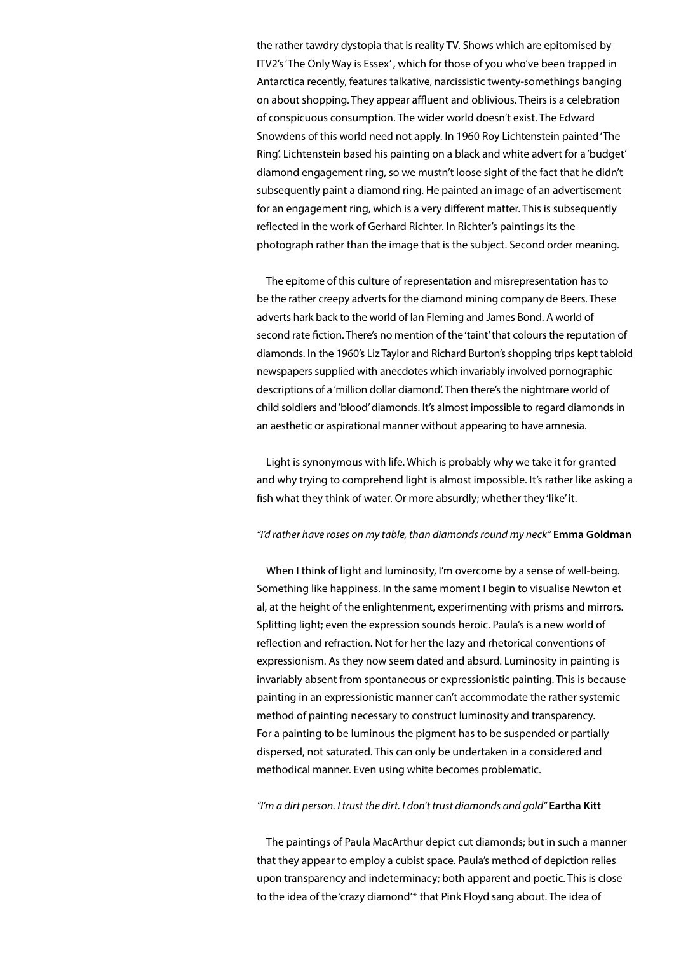the rather tawdry dystopia that is reality TV. Shows which are epitomised by ITV2's 'The Only Way is Essex' , which for those of you who've been trapped in Antarctica recently, features talkative, narcissistic twenty-somethings banging on about shopping. They appear affluent and oblivious. Theirs is a celebration of conspicuous consumption. The wider world doesn't exist. The Edward Snowdens of this world need not apply. In 1960 Roy Lichtenstein painted 'The Ring'. Lichtenstein based his painting on a black and white advert for a 'budget' diamond engagement ring, so we mustn't loose sight of the fact that he didn't subsequently paint a diamond ring. He painted an image of an advertisement for an engagement ring, which is a very different matter. This is subsequently reflected in the work of Gerhard Richter. In Richter's paintings its the photograph rather than the image that is the subject. Second order meaning.

The epitome of this culture of representation and misrepresentation has to be the rather creepy adverts for the diamond mining company de Beers. These adverts hark back to the world of Ian Fleming and James Bond. A world of second rate fiction. There's no mention of the 'taint' that colours the reputation of diamonds. In the 1960's Liz Taylor and Richard Burton's shopping trips kept tabloid newspapers supplied with anecdotes which invariably involved pornographic descriptions of a 'million dollar diamond'. Then there's the nightmare world of child soldiers and 'blood' diamonds. It's almost impossible to regard diamonds in an aesthetic or aspirational manner without appearing to have amnesia.

Light is synonymous with life. Which is probably why we take it for granted and why trying to comprehend light is almost impossible. It's rather like asking a fish what they think of water. Or more absurdly; whether they 'like' it.

#### *"I'd rather have roses on my table, than diamonds round my neck"* **Emma Goldman**

When I think of light and luminosity, I'm overcome by a sense of well-being. Something like happiness. In the same moment I begin to visualise Newton et al, at the height of the enlightenment, experimenting with prisms and mirrors. Splitting light; even the expression sounds heroic. Paula's is a new world of reflection and refraction. Not for her the lazy and rhetorical conventions of expressionism. As they now seem dated and absurd. Luminosity in painting is invariably absent from spontaneous or expressionistic painting. This is because painting in an expressionistic manner can't accommodate the rather systemic method of painting necessary to construct luminosity and transparency. For a painting to be luminous the pigment has to be suspended or partially dispersed, not saturated. This can only be undertaken in a considered and methodical manner. Even using white becomes problematic.

#### *"I'm a dirt person. I trust the dirt. I don't trust diamonds and gold"* **Eartha Kitt**

The paintings of Paula MacArthur depict cut diamonds; but in such a manner that they appear to employ a cubist space. Paula's method of depiction relies upon transparency and indeterminacy; both apparent and poetic. This is close to the idea of the 'crazy diamond'\* that Pink Floyd sang about. The idea of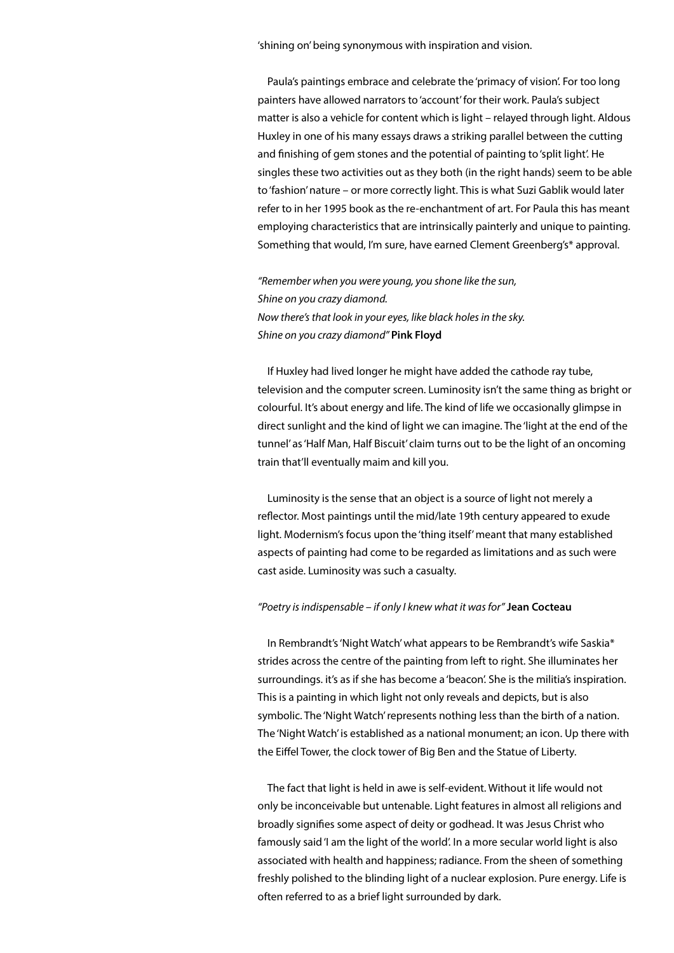'shining on' being synonymous with inspiration and vision.

Paula's paintings embrace and celebrate the 'primacy of vision'. For too long painters have allowed narrators to 'account' for their work. Paula's subject matter is also a vehicle for content which is light – relayed through light. Aldous Huxley in one of his many essays draws a striking parallel between the cutting and finishing of gem stones and the potential of painting to 'split light'. He singles these two activities out as they both (in the right hands) seem to be able to 'fashion' nature – or more correctly light. This is what Suzi Gablik would later refer to in her 1995 book as the re-enchantment of art. For Paula this has meant employing characteristics that are intrinsically painterly and unique to painting. Something that would, I'm sure, have earned Clement Greenberg's\* approval.

*"Remember when you were young, you shone like the sun, Shine on you crazy diamond. Now there's that look in your eyes, like black holes in the sky. Shine on you crazy diamond"* **Pink Floyd**

If Huxley had lived longer he might have added the cathode ray tube, television and the computer screen. Luminosity isn't the same thing as bright or colourful. It's about energy and life. The kind of life we occasionally glimpse in direct sunlight and the kind of light we can imagine. The 'light at the end of the tunnel' as 'Half Man, Half Biscuit' claim turns out to be the light of an oncoming train that'll eventually maim and kill you.

Luminosity is the sense that an object is a source of light not merely a reflector. Most paintings until the mid/late 19th century appeared to exude light. Modernism's focus upon the 'thing itself' meant that many established aspects of painting had come to be regarded as limitations and as such were cast aside. Luminosity was such a casualty.

#### *"Poetry is indispensable – if only I knew what it was for"* **Jean Cocteau**

In Rembrandt's 'Night Watch' what appears to be Rembrandt's wife Saskia\* strides across the centre of the painting from left to right. She illuminates her surroundings. it's as if she has become a 'beacon'. She is the militia's inspiration. This is a painting in which light not only reveals and depicts, but is also symbolic. The 'Night Watch' represents nothing less than the birth of a nation. The 'Night Watch' is established as a national monument; an icon. Up there with the Eiffel Tower, the clock tower of Big Ben and the Statue of Liberty.

The fact that light is held in awe is self-evident. Without it life would not only be inconceivable but untenable. Light features in almost all religions and broadly signifies some aspect of deity or godhead. It was Jesus Christ who famously said 'I am the light of the world'. In a more secular world light is also associated with health and happiness; radiance. From the sheen of something freshly polished to the blinding light of a nuclear explosion. Pure energy. Life is often referred to as a brief light surrounded by dark.